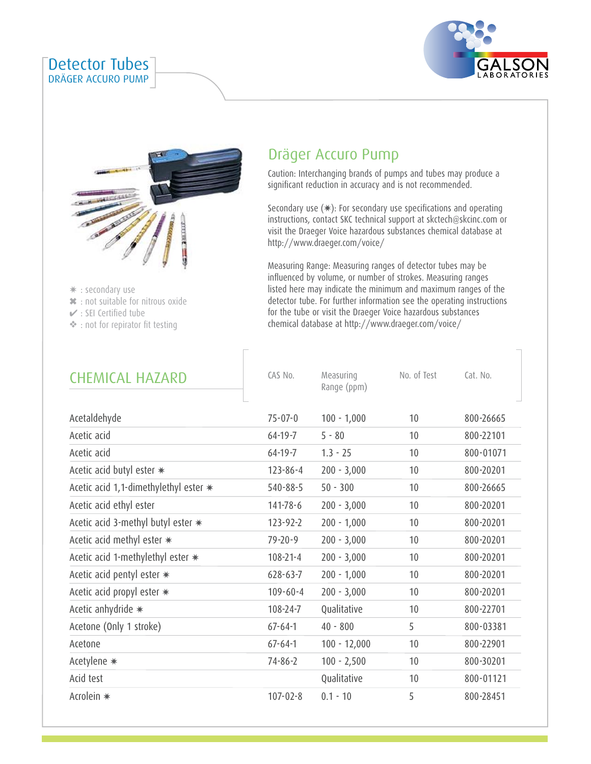



: secondary use ✷

Detector Tubes DRÄGER ACCURO PUMP

: not suitable for nitrous oxide ✖

- $\checkmark$  : SEI Certified tube
- : not for repirator fit testing ❖

# Dräger Accuro Pump

Caution: Interchanging brands of pumps and tubes may produce a significant reduction in accuracy and is not recommended.

Secondary use (✷): For secondary use specifications and operating instructions, contact SKC technical support at skctech@skcinc.com or visit the Draeger Voice hazardous substances chemical database at http://www.draeger.com/voice/

Measuring Range: Measuring ranges of detector tubes may be influenced by volume, or number of strokes. Measuring ranges listed here may indicate the minimum and maximum ranges of the detector tube. For further information see the operating instructions for the tube or visit the Draeger Voice hazardous substances chemical database at http://www.draeger.com/voice/

| <b>CHEMICAL HAZARD</b>                  | CAS No.        | Measuring<br>Range (ppm) | No. of Test | Cat. No.  |
|-----------------------------------------|----------------|--------------------------|-------------|-----------|
| Acetaldehyde                            | $75 - 07 - 0$  | $100 - 1,000$            | 10          | 800-26665 |
| Acetic acid                             | $64 - 19 - 7$  | $5 - 80$                 | 10          | 800-22101 |
| Acetic acid                             | $64 - 19 - 7$  | $1.3 - 25$               | 10          | 800-01071 |
| Acetic acid butyl ester *               | $123 - 86 - 4$ | $200 - 3,000$            | 10          | 800-20201 |
| Acetic acid 1,1-dimethylethyl ester $*$ | $540 - 88 - 5$ | $50 - 300$               | 10          | 800-26665 |
| Acetic acid ethyl ester                 | 141-78-6       | $200 - 3,000$            | 10          | 800-20201 |
| Acetic acid 3-methyl butyl ester $\ast$ | $123 - 92 - 2$ | $200 - 1,000$            | 10          | 800-20201 |
| Acetic acid methyl ester $\ast$         | $79 - 20 - 9$  | $200 - 3,000$            | 10          | 800-20201 |
| Acetic acid 1-methylethyl ester *       | $108 - 21 - 4$ | $200 - 3,000$            | 10          | 800-20201 |
| Acetic acid pentyl ester *              | $628 - 63 - 7$ | $200 - 1,000$            | 10          | 800-20201 |
| Acetic acid propyl ester *              | $109 - 60 - 4$ | $200 - 3,000$            | 10          | 800-20201 |
| Acetic anhydride *                      | 108-24-7       | Qualitative              | 10          | 800-22701 |
| Acetone (Only 1 stroke)                 | $67 - 64 - 1$  | $40 - 800$               | 5           | 800-03381 |
| Acetone                                 | $67 - 64 - 1$  | $100 - 12,000$           | 10          | 800-22901 |
| Acetylene *                             | $74 - 86 - 2$  | $100 - 2,500$            | 10          | 800-30201 |
| Acid test                               |                | Qualitative              | 10          | 800-01121 |
| Acrolein *                              | $107 - 02 - 8$ | $0.1 - 10$               | 5           | 800-28451 |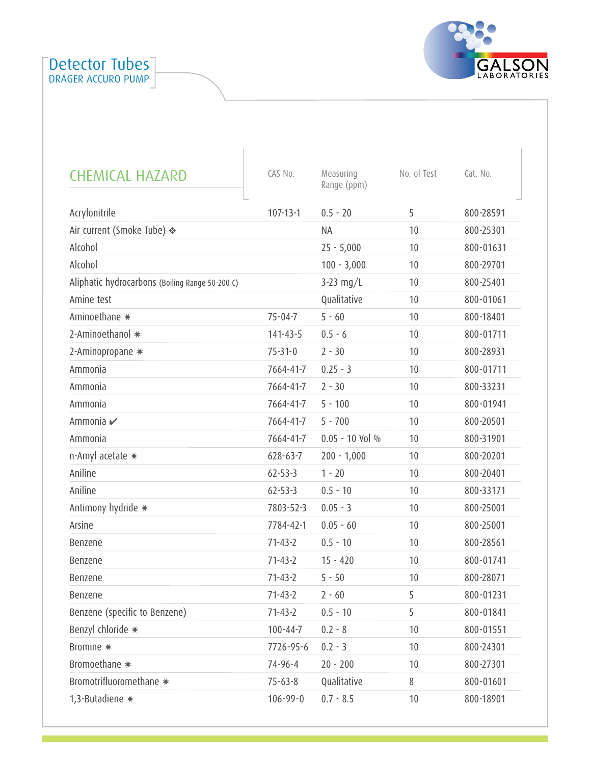



| <b>CHEMICAL HAZARD</b>                          | CAS No.        | Measuring<br>Range (ppm) | No. of Test | Cat. No.  |
|-------------------------------------------------|----------------|--------------------------|-------------|-----------|
| Acrylonitrile                                   | $107 - 13 - 1$ | $0.5 - 20$               | 5           | 800-28591 |
| Air current (Smoke Tube) ❖                      |                | <b>NA</b>                | 10          | 800-25301 |
| Alcohol                                         |                | $25 - 5,000$             | 10          | 800-01631 |
| Alcohol                                         |                | $100 - 3,000$            | 10          | 800-29701 |
| Aliphatic hydrocarbons (Boiling Range 50-200 C) |                | 3-23 $mg/L$              | 10          | 800-25401 |
| Amine test                                      |                | Qualitative              | 10          | 800-01061 |
| Aminoethane *                                   | $75 - 04 - 7$  | $5 - 60$                 | 10          | 800-18401 |
| 2-Aminoethanol *                                | $141 - 43 - 5$ | $0.5 - 6$                | 10          | 800-01711 |
| 2-Aminopropane *                                | $75 - 31 - 0$  | $2 - 30$                 | 10          | 800-28931 |
| Ammonia                                         | 7664-41-7      | $0.25 - 3$               | 10          | 800-01711 |
| Ammonia                                         | 7664-41-7      | $2 - 30$                 | 10          | 800-33231 |
| Ammonia                                         | 7664-41-7      | $5 - 100$                | 10          | 800-01941 |
| Ammonia ✔                                       | 7664-41-7      | $5 - 700$                | 10          | 800-20501 |
| Ammonia                                         | 7664-41-7      | $0.05 - 10$ Vol %        | 10          | 800-31901 |
| n-Amyl acetate *                                | $628 - 63 - 7$ | $200 - 1,000$            | 10          | 800-20201 |
| Aniline                                         | $62 - 53 - 3$  | $1 - 20$                 | 10          | 800-20401 |
| Aniline                                         | $62 - 53 - 3$  | $0.5 - 10$               | 10          | 800-33171 |
| Antimony hydride *                              | 7803-52-3      | $0.05 - 3$               | 10          | 800-25001 |
| Arsine                                          | 7784-42-1      | $0.05 - 60$              | 10          | 800-25001 |
| Benzene                                         | $71 - 43 - 2$  | $0.5 - 10$               | 10          | 800-28561 |
| Benzene                                         | $71 - 43 - 2$  | $15 - 420$               | 10          | 800-01741 |
| Benzene                                         | $71 - 43 - 2$  | $5 - 50$                 | 10          | 800-28071 |
| Benzene                                         | $71 - 43 - 2$  | $2 - 60$                 | 5           | 800-01231 |
| Benzene (specific to Benzene)                   | $71 - 43 - 2$  | $0.5 - 10$               | 5           | 800-01841 |
| Benzyl chloride *                               | $100 - 44 - 7$ | $0.2 - 8$                | 10          | 800-01551 |
| Bromine *                                       | 7726-95-6      | $0.2 - 3$                | 10          | 800-24301 |
| Bromoethane *                                   | $74 - 96 - 4$  | $20 - 200$               | 10          | 800-27301 |
| Bromotrifluoromethane *                         | $75 - 63 - 8$  | Qualitative              | 8           | 800-01601 |
| 1,3-Butadiene *                                 | $106 - 99 - 0$ | $0.7 - 8.5$              | 10          | 800-18901 |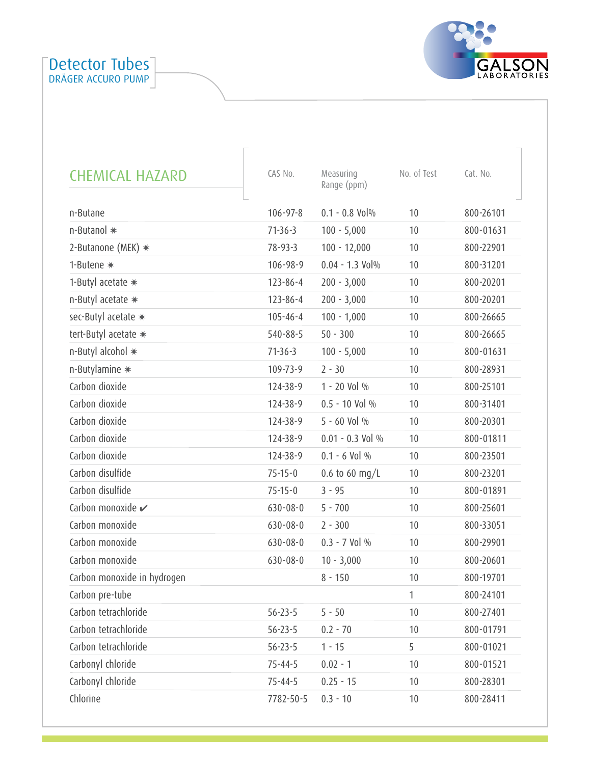

| <b>CHEMICAL HAZARD</b>       | CAS No.        | Measuring<br>Range (ppm) | No. of Test | Cat. No.  |
|------------------------------|----------------|--------------------------|-------------|-----------|
| n-Butane                     | $106 - 97 - 8$ | $0.1 - 0.8$ Vol $%$      | 10          | 800-26101 |
| n-Butanol *                  | $71-36-3$      | $100 - 5,000$            | 10          | 800-01631 |
| 2-Butanone (MEK) $*$         | $78 - 93 - 3$  | $100 - 12,000$           | 10          | 800-22901 |
| 1-Butene *                   | 106-98-9       | $0.04 - 1.3$ Vol%        | 10          | 800-31201 |
| 1-Butyl acetate *            | $123 - 86 - 4$ | $200 - 3,000$            | 10          | 800-20201 |
| n-Butyl acetate *            | 123-86-4       | $200 - 3,000$            | 10          | 800-20201 |
| sec-Butyl acetate *          | $105 - 46 - 4$ | $100 - 1,000$            | 10          | 800-26665 |
| tert-Butyl acetate *         | $540 - 88 - 5$ | $50 - 300$               | 10          | 800-26665 |
| n-Butyl alcohol *            | $71-36-3$      | $100 - 5,000$            | 10          | 800-01631 |
| n-Butylamine *               | 109-73-9       | $2 - 30$                 | 10          | 800-28931 |
| Carbon dioxide               | 124-38-9       | 1 - 20 Vol %             | 10          | 800-25101 |
| Carbon dioxide               | 124-38-9       | $0.5 - 10$ Vol %         | 10          | 800-31401 |
| Carbon dioxide               | 124-38-9       | $5 - 60$ Vol %           | 10          | 800-20301 |
| Carbon dioxide               | 124-38-9       | $0.01 - 0.3$ Vol %       | 10          | 800-01811 |
| Carbon dioxide               | 124-38-9       | $0.1 - 6$ Vol %          | 10          | 800-23501 |
| Carbon disulfide             | $75 - 15 - 0$  | 0.6 to 60 mg/L           | 10          | 800-23201 |
| Carbon disulfide             | $75 - 15 - 0$  | $3 - 95$                 | 10          | 800-01891 |
| Carbon monoxide $\checkmark$ | $630 - 08 - 0$ | $5 - 700$                | 10          | 800-25601 |
| Carbon monoxide              | $630 - 08 - 0$ | $2 - 300$                | 10          | 800-33051 |
| Carbon monoxide              | $630 - 08 - 0$ | $0.3 - 7$ Vol %          | 10          | 800-29901 |
| Carbon monoxide              | $630 - 08 - 0$ | $10 - 3,000$             | 10          | 800-20601 |
| Carbon monoxide in hydrogen  |                | $8 - 150$                | 10          | 800-19701 |
| Carbon pre-tube              |                |                          | 1           | 800-24101 |
| Carbon tetrachloride         | $56 - 23 - 5$  | $5 - 50$                 | 10          | 800-27401 |
| Carbon tetrachloride         | $56 - 23 - 5$  | $0.2 - 70$               | 10          | 800-01791 |
| Carbon tetrachloride         | $56 - 23 - 5$  | $1 - 15$                 | 5           | 800-01021 |
| Carbonyl chloride            | $75 - 44 - 5$  | $0.02 - 1$               | 10          | 800-01521 |
| Carbonyl chloride            | $75 - 44 - 5$  | $0.25 - 15$              | 10          | 800-28301 |
| Chlorine                     | 7782-50-5      | $0.3 - 10$               | 10          | 800-28411 |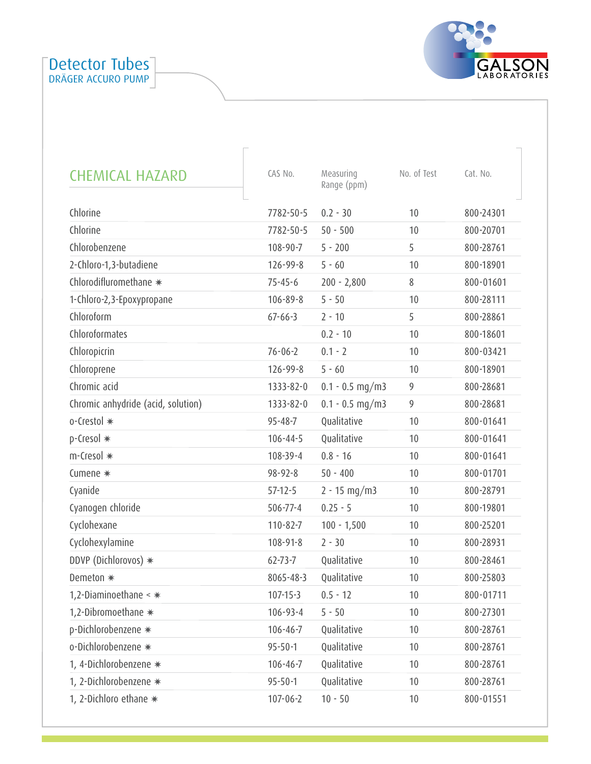

| <b>CHEMICAL HAZARD</b>             | CAS No.        | Measuring<br>Range (ppm) | No. of Test | Cat. No.  |
|------------------------------------|----------------|--------------------------|-------------|-----------|
| Chlorine                           | 7782-50-5      | $0.2 - 30$               | 10          | 800-24301 |
| Chlorine                           | 7782-50-5      | $50 - 500$               | 10          | 800-20701 |
| Chlorobenzene                      | 108-90-7       | $5 - 200$                | 5           | 800-28761 |
| 2-Chloro-1,3-butadiene             | $126 - 99 - 8$ | $5 - 60$                 | 10          | 800-18901 |
| Chlorodifluromethane *             | $75 - 45 - 6$  | $200 - 2,800$            | 8           | 800-01601 |
| 1-Chloro-2,3-Epoxypropane          | $106 - 89 - 8$ | $5 - 50$                 | 10          | 800-28111 |
| Chloroform                         | $67 - 66 - 3$  | $2 - 10$                 | 5           | 800-28861 |
| Chloroformates                     |                | $0.2 - 10$               | 10          | 800-18601 |
| Chloropicrin                       | $76 - 06 - 2$  | $0.1 - 2$                | 10          | 800-03421 |
| Chloroprene                        | $126 - 99 - 8$ | $5 - 60$                 | 10          | 800-18901 |
| Chromic acid                       | 1333-82-0      | $0.1 - 0.5$ mg/m3        | 9           | 800-28681 |
| Chromic anhydride (acid, solution) | 1333-82-0      | $0.1 - 0.5$ mg/m3        | 9           | 800-28681 |
| o-Crestol *                        | $95 - 48 - 7$  | Qualitative              | 10          | 800-01641 |
| p-Cresol *                         | $106 - 44 - 5$ | Qualitative              | 10          | 800-01641 |
| m-Cresol *                         | 108-39-4       | $0.8 - 16$               | 10          | 800-01641 |
| Cumene *                           | $98 - 92 - 8$  | $50 - 400$               | 10          | 800-01701 |
| Cyanide                            | $57-12-5$      | $2 - 15$ mg/m3           | 10          | 800-28791 |
| Cyanogen chloride                  | $506 - 77 - 4$ | $0.25 - 5$               | 10          | 800-19801 |
| Cyclohexane                        | $110 - 82 - 7$ | $100 - 1,500$            | 10          | 800-25201 |
| Cyclohexylamine                    | 108-91-8       | $2 - 30$                 | 10          | 800-28931 |
| DDVP (Dichlorovos) *               | $62 - 73 - 7$  | Qualitative              | 10          | 800-28461 |
| Demeton *                          | 8065-48-3      | Qualitative              | 10          | 800-25803 |
| 1,2-Diaminoethane $\lt$ $*$        | $107 - 15 - 3$ | $0.5 - 12$               | 10          | 800-01711 |
| 1,2-Dibromoethane *                | $106 - 93 - 4$ | $5 - 50$                 | 10          | 800-27301 |
| p-Dichlorobenzene *                | $106 - 46 - 7$ | Qualitative              | 10          | 800-28761 |
| o-Dichlorobenzene *                | $95 - 50 - 1$  | Qualitative              | 10          | 800-28761 |
| 1, 4-Dichlorobenzene *             | $106 - 46 - 7$ | Qualitative              | 10          | 800-28761 |
| 1, 2-Dichlorobenzene *             | $95 - 50 - 1$  | Qualitative              | 10          | 800-28761 |
| 1, 2-Dichloro ethane *             | $107 - 06 - 2$ | $10 - 50$                | 10          | 800-01551 |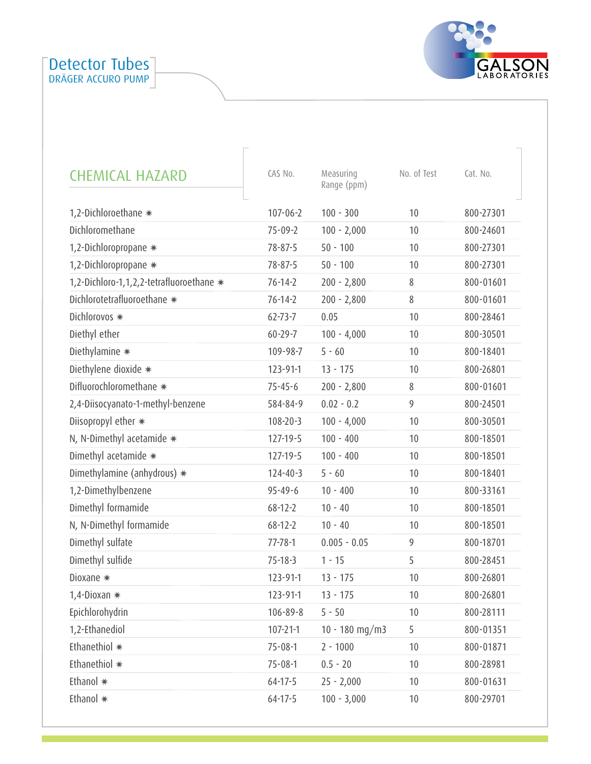

| <b>CHEMICAL HAZARD</b>                   | CAS No.        | Measuring<br>Range (ppm) | No. of Test | Cat. No.  |
|------------------------------------------|----------------|--------------------------|-------------|-----------|
| 1,2-Dichloroethane *                     | $107 - 06 - 2$ | $100 - 300$              | 10          | 800-27301 |
| Dichloromethane                          | $75 - 09 - 2$  | $100 - 2,000$            | 10          | 800-24601 |
| 1,2-Dichloropropane *                    | $78 - 87 - 5$  | $50 - 100$               | 10          | 800-27301 |
| 1,2-Dichloropropane *                    | $78 - 87 - 5$  | $50 - 100$               | 10          | 800-27301 |
| 1,2-Dichloro-1,1,2,2-tetrafluoroethane * | $76 - 14 - 2$  | $200 - 2,800$            | 8           | 800-01601 |
| Dichlorotetrafluoroethane *              | $76 - 14 - 2$  | $200 - 2,800$            | 8           | 800-01601 |
| Dichlorovos *                            | $62 - 73 - 7$  | 0.05                     | 10          | 800-28461 |
| Diethyl ether                            | $60 - 29 - 7$  | $100 - 4,000$            | 10          | 800-30501 |
| Diethylamine *                           | 109-98-7       | $5 - 60$                 | 10          | 800-18401 |
| Diethylene dioxide *                     | 123-91-1       | $13 - 175$               | 10          | 800-26801 |
| Difluorochloromethane *                  | $75 - 45 - 6$  | $200 - 2,800$            | 8           | 800-01601 |
| 2,4-Diisocyanato-1-methyl-benzene        | 584-84-9       | $0.02 - 0.2$             | 9           | 800-24501 |
| Diisopropyl ether *                      | $108 - 20 - 3$ | $100 - 4,000$            | 10          | 800-30501 |
| N, N-Dimethyl acetamide *                | $127 - 19 - 5$ | $100 - 400$              | 10          | 800-18501 |
| Dimethyl acetamide *                     | $127 - 19 - 5$ | $100 - 400$              | 10          | 800-18501 |
| Dimethylamine (anhydrous) *              | $124 - 40 - 3$ | $5 - 60$                 | 10          | 800-18401 |
| 1,2-Dimethylbenzene                      | $95 - 49 - 6$  | $10 - 400$               | 10          | 800-33161 |
| Dimethyl formamide                       | $68 - 12 - 2$  | $10 - 40$                | 10          | 800-18501 |
| N, N-Dimethyl formamide                  | $68 - 12 - 2$  | $10 - 40$                | 10          | 800-18501 |
| Dimethyl sulfate                         | $77 - 78 - 1$  | $0.005 - 0.05$           | 9           | 800-18701 |
| Dimethyl sulfide                         | $75 - 18 - 3$  | $1 - 15$                 | 5           | 800-28451 |
| Dioxane *                                | $123 - 91 - 1$ | $13 - 175$               | 10          | 800-26801 |
| 1,4-Dioxan *                             | 123-91-1       | $13 - 175$               | 10          | 800-26801 |
| Epichlorohydrin                          | $106 - 89 - 8$ | $5 - 50$                 | 10          | 800-28111 |
| 1,2-Ethanediol                           | $107 - 21 - 1$ | $10 - 180$ mg/m3         | 5           | 800-01351 |
| Ethanethiol *                            | $75 - 08 - 1$  | $2 - 1000$               | 10          | 800-01871 |
| Ethanethiol *                            | $75 - 08 - 1$  | $0.5 - 20$               | 10          | 800-28981 |
| Ethanol *                                | $64 - 17 - 5$  | $25 - 2,000$             | 10          | 800-01631 |
| Ethanol *                                | $64 - 17 - 5$  | $100 - 3,000$            | 10          | 800-29701 |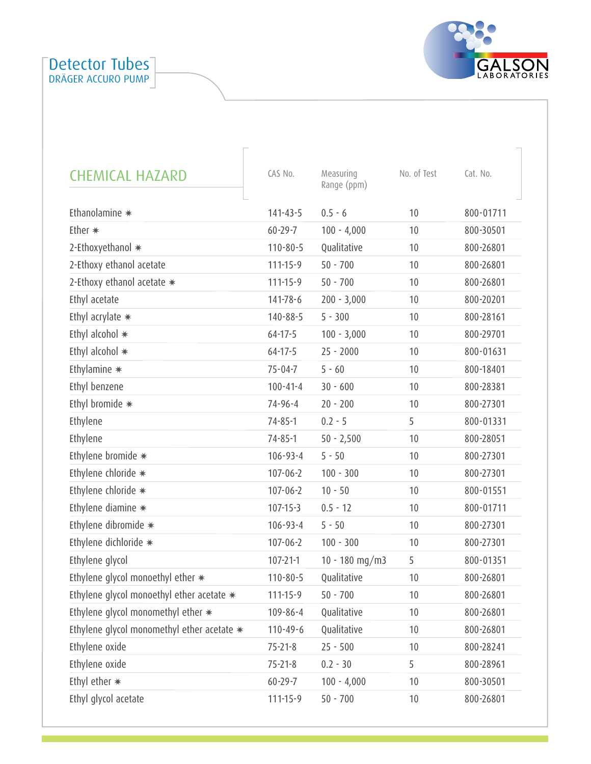

| <b>CHEMICAL HAZARD</b>                     | CAS No.        | Measuring<br>Range (ppm) | No. of Test | Cat. No.  |
|--------------------------------------------|----------------|--------------------------|-------------|-----------|
| Ethanolamine *                             | $141 - 43 - 5$ | $0.5 - 6$                | 10          | 800-01711 |
| Ether $*$                                  | $60 - 29 - 7$  | $100 - 4,000$            | 10          | 800-30501 |
| 2-Ethoxyethanol *                          | $110 - 80 - 5$ | Qualitative              | 10          | 800-26801 |
| 2-Ethoxy ethanol acetate                   | $111 - 15 - 9$ | $50 - 700$               | 10          | 800-26801 |
| 2-Ethoxy ethanol acetate *                 | $111 - 15 - 9$ | $50 - 700$               | 10          | 800-26801 |
| Ethyl acetate                              | 141-78-6       | $200 - 3,000$            | 10          | 800-20201 |
| Ethyl acrylate *                           | $140 - 88 - 5$ | $5 - 300$                | 10          | 800-28161 |
| Ethyl alcohol *                            | $64 - 17 - 5$  | $100 - 3,000$            | 10          | 800-29701 |
| Ethyl alcohol *                            | $64 - 17 - 5$  | $25 - 2000$              | 10          | 800-01631 |
| Ethylamine $*$                             | $75 - 04 - 7$  | $5 - 60$                 | 10          | 800-18401 |
| Ethyl benzene                              | $100 - 41 - 4$ | $30 - 600$               | 10          | 800-28381 |
| Ethyl bromide *                            | $74 - 96 - 4$  | $20 - 200$               | 10          | 800-27301 |
| Ethylene                                   | $74 - 85 - 1$  | $0.2 - 5$                | 5           | 800-01331 |
| Ethylene                                   | $74 - 85 - 1$  | $50 - 2,500$             | 10          | 800-28051 |
| Ethylene bromide *                         | $106 - 93 - 4$ | $5 - 50$                 | 10          | 800-27301 |
| Ethylene chloride *                        | $107 - 06 - 2$ | $100 - 300$              | 10          | 800-27301 |
| Ethylene chloride *                        | $107 - 06 - 2$ | $10 - 50$                | 10          | 800-01551 |
| Ethylene diamine *                         | $107 - 15 - 3$ | $0.5 - 12$               | 10          | 800-01711 |
| Ethylene dibromide *                       | $106 - 93 - 4$ | $5 - 50$                 | 10          | 800-27301 |
| Ethylene dichloride *                      | $107 - 06 - 2$ | $100 - 300$              | 10          | 800-27301 |
| Ethylene glycol                            | $107 - 21 - 1$ | $10 - 180$ mg/m3         | 5           | 800-01351 |
| Ethylene glycol monoethyl ether *          | $110 - 80 - 5$ | Qualitative              | 10          | 800-26801 |
| Ethylene glycol monoethyl ether acetate *  | $111 - 15 - 9$ | $50 - 700$               | 10          | 800-26801 |
| Ethylene glycol monomethyl ether *         | $109 - 86 - 4$ | Qualitative              | 10          | 800-26801 |
| Ethylene glycol monomethyl ether acetate * | $110 - 49 - 6$ | Qualitative              | 10          | 800-26801 |
| Ethylene oxide                             | $75 - 21 - 8$  | $25 - 500$               | 10          | 800-28241 |
| Ethylene oxide                             | $75 - 21 - 8$  | $0.2 - 30$               | 5           | 800-28961 |
| Ethyl ether *                              | $60 - 29 - 7$  | $100 - 4,000$            | 10          | 800-30501 |
| Ethyl glycol acetate                       | $111 - 15 - 9$ | $50 - 700$               | 10          | 800-26801 |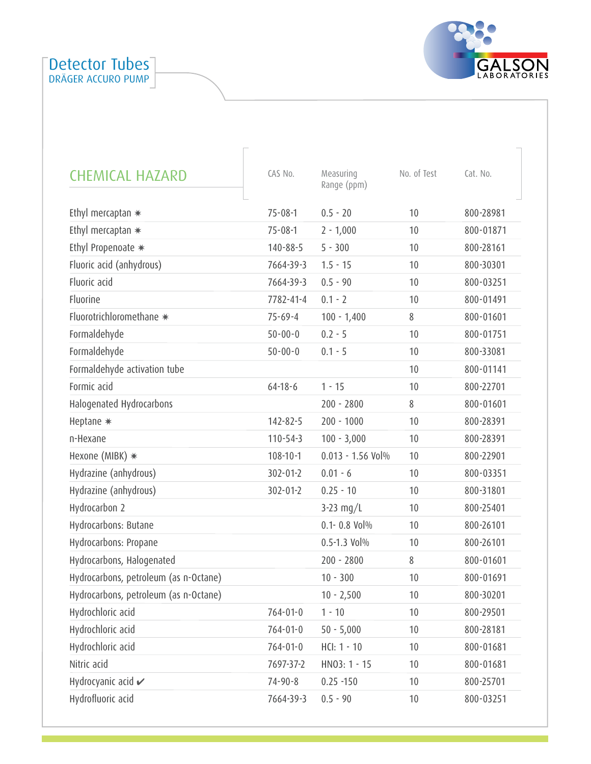

| <b>CHEMICAL HAZARD</b>                | CAS No.        | Measuring<br>Range (ppm) | No. of Test | Cat. No.  |
|---------------------------------------|----------------|--------------------------|-------------|-----------|
| Ethyl mercaptan $*$                   | $75 - 08 - 1$  | $0.5 - 20$               | 10          | 800-28981 |
| Ethyl mercaptan $*$                   | $75 - 08 - 1$  | $2 - 1,000$              | 10          | 800-01871 |
| Ethyl Propenoate *                    | $140 - 88 - 5$ | $5 - 300$                | 10          | 800-28161 |
| Fluoric acid (anhydrous)              | 7664-39-3      | $1.5 - 15$               | 10          | 800-30301 |
| Fluoric acid                          | 7664-39-3      | $0.5 - 90$               | 10          | 800-03251 |
| Fluorine                              | 7782-41-4      | $0.1 - 2$                | 10          | 800-01491 |
| Fluorotrichloromethane *              | $75 - 69 - 4$  | $100 - 1,400$            | 8           | 800-01601 |
| Formaldehyde                          | $50 - 00 - 0$  | $0.2 - 5$                | 10          | 800-01751 |
| Formaldehyde                          | $50 - 00 - 0$  | $0.1 - 5$                | 10          | 800-33081 |
| Formaldehyde activation tube          |                |                          | 10          | 800-01141 |
| Formic acid                           | $64 - 18 - 6$  | $1 - 15$                 | 10          | 800-22701 |
| Halogenated Hydrocarbons              |                | $200 - 2800$             | 8           | 800-01601 |
| Heptane *                             | 142-82-5       | $200 - 1000$             | 10          | 800-28391 |
| n-Hexane                              | $110 - 54 - 3$ | $100 - 3,000$            | 10          | 800-28391 |
| Hexone (MIBK) *                       | $108 - 10 - 1$ | $0.013 - 1.56$ Vol%      | 10          | 800-22901 |
| Hydrazine (anhydrous)                 | $302 - 01 - 2$ | $0.01 - 6$               | 10          | 800-03351 |
| Hydrazine (anhydrous)                 | $302 - 01 - 2$ | $0.25 - 10$              | 10          | 800-31801 |
| Hydrocarbon 2                         |                | $3-23$ mg/L              | 10          | 800-25401 |
| Hydrocarbons: Butane                  |                | $0.1 - 0.8$ Vol $%$      | 10          | 800-26101 |
| Hydrocarbons: Propane                 |                | $0.5 - 1.3$ Vol $%$      | 10          | 800-26101 |
| Hydrocarbons, Halogenated             |                | $200 - 2800$             | 8           | 800-01601 |
| Hydrocarbons, petroleum (as n-Octane) |                | $10 - 300$               | 10          | 800-01691 |
| Hydrocarbons, petroleum (as n-Octane) |                | $10 - 2,500$             | 10          | 800-30201 |
| Hydrochloric acid                     | $764 - 01 - 0$ | $1 - 10$                 | 10          | 800-29501 |
| Hydrochloric acid                     | $764 - 01 - 0$ | $50 - 5,000$             | 10          | 800-28181 |
| Hydrochloric acid                     | $764 - 01 - 0$ | HCI: 1 - 10              | 10          | 800-01681 |
| Nitric acid                           | 7697-37-2      | $HNO3: 1 - 15$           | 10          | 800-01681 |
| Hydrocyanic acid $\checkmark$         | $74 - 90 - 8$  | $0.25 - 150$             | 10          | 800-25701 |
| Hydrofluoric acid                     | 7664-39-3      | $0.5 - 90$               | 10          | 800-03251 |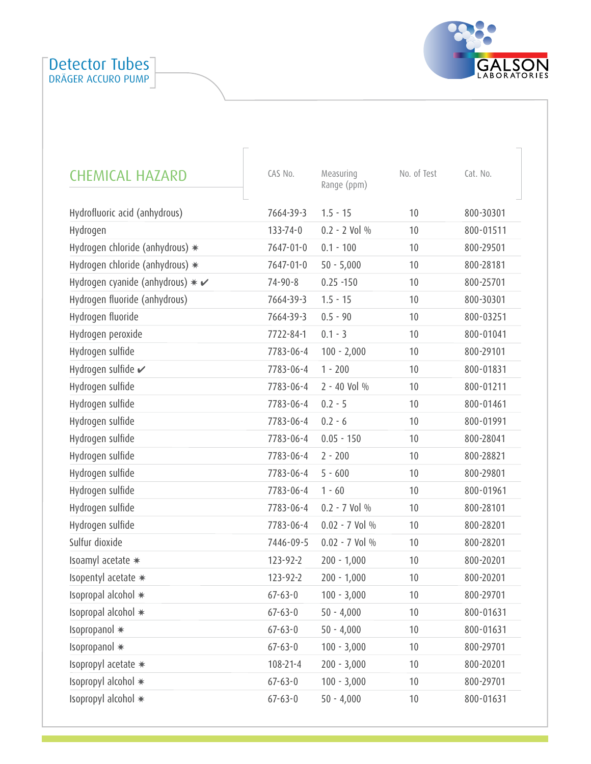

| <b>CHEMICAL HAZARD</b>                      | CAS No.        | Measuring<br>Range (ppm) | No. of Test | Cat. No.  |
|---------------------------------------------|----------------|--------------------------|-------------|-----------|
| Hydrofluoric acid (anhydrous)               | 7664-39-3      | $1.5 - 15$               | 10          | 800-30301 |
| Hydrogen                                    | $133 - 74 - 0$ | $0.2 - 2$ Vol %          | 10          | 800-01511 |
| Hydrogen chloride (anhydrous) *             | 7647-01-0      | $0.1 - 100$              | 10          | 800-29501 |
| Hydrogen chloride (anhydrous) *             | 7647-01-0      | $50 - 5,000$             | 10          | 800-28181 |
| Hydrogen cyanide (anhydrous) $* \checkmark$ | $74 - 90 - 8$  | $0.25 - 150$             | 10          | 800-25701 |
| Hydrogen fluoride (anhydrous)               | 7664-39-3      | $1.5 - 15$               | 10          | 800-30301 |
| Hydrogen fluoride                           | 7664-39-3      | $0.5 - 90$               | 10          | 800-03251 |
| Hydrogen peroxide                           | 7722-84-1      | $0.1 - 3$                | 10          | 800-01041 |
| Hydrogen sulfide                            | 7783-06-4      | $100 - 2,000$            | 10          | 800-29101 |
| Hydrogen sulfide ✔                          | 7783-06-4      | $1 - 200$                | 10          | 800-01831 |
| Hydrogen sulfide                            | 7783-06-4      | 2 - 40 Vol %             | 10          | 800-01211 |
| Hydrogen sulfide                            | 7783-06-4      | $0.2 - 5$                | 10          | 800-01461 |
| Hydrogen sulfide                            | 7783-06-4      | $0.2 - 6$                | 10          | 800-01991 |
| Hydrogen sulfide                            | 7783-06-4      | $0.05 - 150$             | 10          | 800-28041 |
| Hydrogen sulfide                            | 7783-06-4      | $2 - 200$                | 10          | 800-28821 |
| Hydrogen sulfide                            | 7783-06-4      | $5 - 600$                | 10          | 800-29801 |
| Hydrogen sulfide                            | 7783-06-4      | $1 - 60$                 | 10          | 800-01961 |
| Hydrogen sulfide                            | 7783-06-4      | $0.2 - 7$ Vol %          | 10          | 800-28101 |
| Hydrogen sulfide                            | 7783-06-4      | $0.02 - 7$ Vol %         | 10          | 800-28201 |
| Sulfur dioxide                              | 7446-09-5      | $0.02 - 7$ Vol %         | 10          | 800-28201 |
| Isoamyl acetate *                           | 123-92-2       | $200 - 1,000$            | 10          | 800-20201 |
| Isopentyl acetate *                         | 123-92-2       | $200 - 1,000$            | 10          | 800-20201 |
| Isopropal alcohol ∗                         | $67 - 63 - 0$  | $100 - 3,000$            | 10          | 800-29701 |
| Isopropal alcohol *                         | $67 - 63 - 0$  | $50 - 4,000$             | 10          | 800-01631 |
| Isopropanol *                               | $67 - 63 - 0$  | $50 - 4,000$             | 10          | 800-01631 |
| Isopropanol *                               | $67 - 63 - 0$  | $100 - 3,000$            | 10          | 800-29701 |
| Isopropyl acetate *                         | $108 - 21 - 4$ | $200 - 3,000$            | 10          | 800-20201 |
| Isopropyl alcohol *                         | $67 - 63 - 0$  | $100 - 3,000$            | 10          | 800-29701 |
| Isopropyl alcohol *                         | $67 - 63 - 0$  | $50 - 4,000$             | 10          | 800-01631 |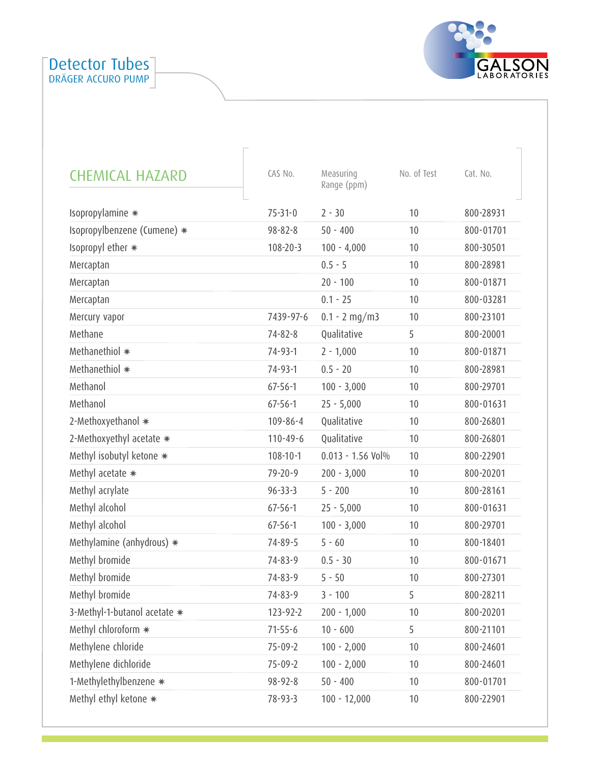

| <b>CHEMICAL HAZARD</b>       | CAS No.        | Measuring<br>Range (ppm) | No. of Test | Cat. No.  |
|------------------------------|----------------|--------------------------|-------------|-----------|
| Isopropylamine *             | $75 - 31 - 0$  | $2 - 30$                 | 10          | 800-28931 |
| Isopropylbenzene (Cumene) *  | $98 - 82 - 8$  | $50 - 400$               | 10          | 800-01701 |
| Isopropyl ether *            | $108 - 20 - 3$ | $100 - 4,000$            | 10          | 800-30501 |
| Mercaptan                    |                | $0.5 - 5$                | 10          | 800-28981 |
| Mercaptan                    |                | $20 - 100$               | 10          | 800-01871 |
| Mercaptan                    |                | $0.1 - 25$               | 10          | 800-03281 |
| Mercury vapor                | 7439-97-6      | $0.1 - 2$ mg/m3          | 10          | 800-23101 |
| Methane                      | $74 - 82 - 8$  | Qualitative              | 5           | 800-20001 |
| Methanethiol *               | $74 - 93 - 1$  | $2 - 1,000$              | 10          | 800-01871 |
| Methanethiol *               | $74 - 93 - 1$  | $0.5 - 20$               | 10          | 800-28981 |
| Methanol                     | $67 - 56 - 1$  | $100 - 3,000$            | 10          | 800-29701 |
| Methanol                     | $67 - 56 - 1$  | $25 - 5,000$             | 10          | 800-01631 |
| 2-Methoxyethanol *           | $109 - 86 - 4$ | Qualitative              | 10          | 800-26801 |
| 2-Methoxyethyl acetate *     | $110 - 49 - 6$ | Qualitative              | 10          | 800-26801 |
| Methyl isobutyl ketone *     | $108 - 10 - 1$ | $0.013 - 1.56$ Vol%      | 10          | 800-22901 |
| Methyl acetate *             | $79 - 20 - 9$  | $200 - 3,000$            | 10          | 800-20201 |
| Methyl acrylate              | $96 - 33 - 3$  | $5 - 200$                | 10          | 800-28161 |
| Methyl alcohol               | $67 - 56 - 1$  | $25 - 5,000$             | 10          | 800-01631 |
| Methyl alcohol               | $67 - 56 - 1$  | $100 - 3,000$            | 10          | 800-29701 |
| Methylamine (anhydrous) $*$  | $74 - 89 - 5$  | $5 - 60$                 | 10          | 800-18401 |
| Methyl bromide               | $74 - 83 - 9$  | $0.5 - 30$               | 10          | 800-01671 |
| Methyl bromide               | $74 - 83 - 9$  | $5 - 50$                 | 10          | 800-27301 |
| Methyl bromide               | $74 - 83 - 9$  | $3 - 100$                | 5           | 800-28211 |
| 3-Methyl-1-butanol acetate * | 123-92-2       | $200 - 1,000$            | 10          | 800-20201 |
| Methyl chloroform *          | $71 - 55 - 6$  | $10 - 600$               | 5           | 800-21101 |
| Methylene chloride           | $75 - 09 - 2$  | $100 - 2,000$            | 10          | 800-24601 |
| Methylene dichloride         | $75 - 09 - 2$  | $100 - 2,000$            | 10          | 800-24601 |
| 1-Methylethylbenzene *       | 98-92-8        | $50 - 400$               | 10          | 800-01701 |
| Methyl ethyl ketone *        | 78-93-3        | $100 - 12,000$           | 10          | 800-22901 |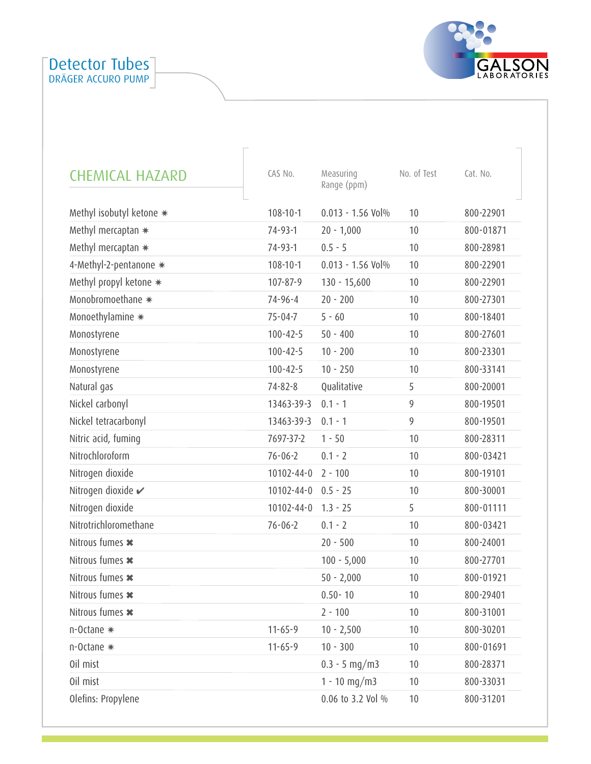

| <b>CHEMICAL HAZARD</b>   | CAS No.          | Measuring<br>Range (ppm) | No. of Test | Cat. No.  |
|--------------------------|------------------|--------------------------|-------------|-----------|
| Methyl isobutyl ketone * | $108 - 10 - 1$   | $0.013 - 1.56$ Vol%      | 10          | 800-22901 |
| Methyl mercaptan $*$     | 74-93-1          | $20 - 1,000$             | 10          | 800-01871 |
| Methyl mercaptan $*$     | $74 - 93 - 1$    | $0.5 - 5$                | 10          | 800-28981 |
| 4-Methyl-2-pentanone *   | $108 - 10 - 1$   | $0.013 - 1.56$ Vol%      | 10          | 800-22901 |
| Methyl propyl ketone *   | 107-87-9         | $130 - 15,600$           | 10          | 800-22901 |
| Monobromoethane *        | $74 - 96 - 4$    | $20 - 200$               | 10          | 800-27301 |
| Monoethylamine *         | $75 - 04 - 7$    | $5 - 60$                 | 10          | 800-18401 |
| Monostyrene              | $100 - 42 - 5$   | $50 - 400$               | 10          | 800-27601 |
| Monostyrene              | $100 - 42 - 5$   | $10 - 200$               | 10          | 800-23301 |
| Monostyrene              | $100 - 42 - 5$   | $10 - 250$               | 10          | 800-33141 |
| Natural gas              | $74 - 82 - 8$    | Qualitative              | 5           | 800-20001 |
| Nickel carbonyl          | 13463-39-3       | $0.1 - 1$                | 9           | 800-19501 |
| Nickel tetracarbonyl     | 13463-39-3       | $0.1 - 1$                | 9           | 800-19501 |
| Nitric acid, fuming      | 7697-37-2        | $1 - 50$                 | 10          | 800-28311 |
| Nitrochloroform          | $76 - 06 - 2$    | $0.1 - 2$                | 10          | 800-03421 |
| Nitrogen dioxide         | $10102 - 44 - 0$ | $2 - 100$                | 10          | 800-19101 |
| Nitrogen dioxide v       | $10102 - 44 - 0$ | $0.5 - 25$               | 10          | 800-30001 |
| Nitrogen dioxide         | $10102 - 44 - 0$ | $1.3 - 25$               | 5           | 800-01111 |
| Nitrotrichloromethane    | $76 - 06 - 2$    | $0.1 - 2$                | 10          | 800-03421 |
| Nitrous fumes *          |                  | $20 - 500$               | 10          | 800-24001 |
| Nitrous fumes *          |                  | $100 - 5,000$            | 10          | 800-27701 |
| Nitrous fumes *          |                  | $50 - 2,000$             | 10          | 800-01921 |
| Nitrous fumes *          |                  | $0.50 - 10$              | 10          | 800-29401 |
| Nitrous fumes *          |                  | $2 - 100$                | 10          | 800-31001 |
| n-Octane *               | $11 - 65 - 9$    | $10 - 2,500$             | 10          | 800-30201 |
| n-Octane *               | $11 - 65 - 9$    | $10 - 300$               | 10          | 800-01691 |
| Oil mist                 |                  | $0.3 - 5$ mg/m3          | 10          | 800-28371 |
| Oil mist                 |                  | $1 - 10$ mg/m3           | 10          | 800-33031 |
| Olefins: Propylene       |                  | 0.06 to 3.2 Vol %        | $10$        | 800-31201 |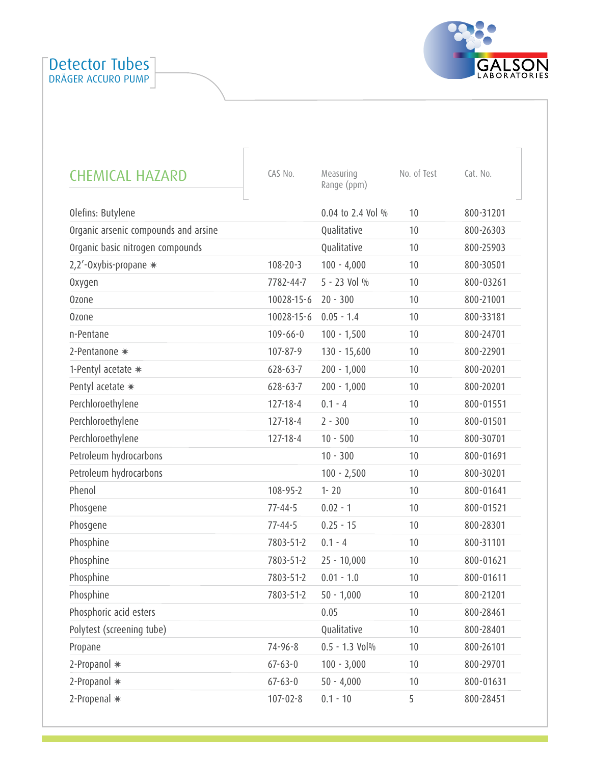

| <b>CHEMICAL HAZARD</b>               | CAS No.        | Measuring<br>Range (ppm) | No. of Test | Cat. No.  |
|--------------------------------------|----------------|--------------------------|-------------|-----------|
| Olefins: Butylene                    |                | 0.04 to 2.4 Vol %        | 10          | 800-31201 |
| Organic arsenic compounds and arsine |                | Qualitative              | 10          | 800-26303 |
| Organic basic nitrogen compounds     |                | Qualitative              | 10          | 800-25903 |
| 2,2'-Oxybis-propane *                | $108 - 20 - 3$ | $100 - 4,000$            | 10          | 800-30501 |
| Oxygen                               | 7782-44-7      | 5 - 23 Vol %             | 10          | 800-03261 |
| <b>Ozone</b>                         | 10028-15-6     | $20 - 300$               | 10          | 800-21001 |
| <b>Ozone</b>                         | 10028-15-6     | $0.05 - 1.4$             | 10          | 800-33181 |
| n-Pentane                            | $109 - 66 - 0$ | $100 - 1,500$            | 10          | 800-24701 |
| 2-Pentanone *                        | 107-87-9       | $130 - 15,600$           | 10          | 800-22901 |
| 1-Pentyl acetate *                   | $628 - 63 - 7$ | $200 - 1,000$            | 10          | 800-20201 |
| Pentyl acetate *                     | $628 - 63 - 7$ | $200 - 1,000$            | 10          | 800-20201 |
| Perchloroethylene                    | $127 - 18 - 4$ | $0.1 - 4$                | 10          | 800-01551 |
| Perchloroethylene                    | $127 - 18 - 4$ | $2 - 300$                | 10          | 800-01501 |
| Perchloroethylene                    | $127 - 18 - 4$ | $10 - 500$               | 10          | 800-30701 |
| Petroleum hydrocarbons               |                | $10 - 300$               | 10          | 800-01691 |
| Petroleum hydrocarbons               |                | $100 - 2,500$            | 10          | 800-30201 |
| Phenol                               | 108-95-2       | $1 - 20$                 | 10          | 800-01641 |
| Phosgene                             | $77 - 44 - 5$  | $0.02 - 1$               | 10          | 800-01521 |
| Phosgene                             | $77 - 44 - 5$  | $0.25 - 15$              | 10          | 800-28301 |
| Phosphine                            | 7803-51-2      | $0.1 - 4$                | 10          | 800-31101 |
| Phosphine                            | 7803-51-2      | $25 - 10,000$            | 10          | 800-01621 |
| Phosphine                            | 7803-51-2      | $0.01 - 1.0$             | 10          | 800-01611 |
| Phosphine                            | 7803-51-2      | $50 - 1,000$             | 10          | 800-21201 |
| Phosphoric acid esters               |                | 0.05                     | 10          | 800-28461 |
| Polytest (screening tube)            |                | Qualitative              | 10          | 800-28401 |
| Propane                              | 74-96-8        | $0.5 - 1.3$ Vol $%$      | 10          | 800-26101 |
| 2-Propanol *                         | $67 - 63 - 0$  | $100 - 3,000$            | 10          | 800-29701 |
| 2-Propanol *                         | $67 - 63 - 0$  | $50 - 4,000$             | 10          | 800-01631 |
| 2-Propenal *                         | $107 - 02 - 8$ | $0.1 - 10$               | 5           | 800-28451 |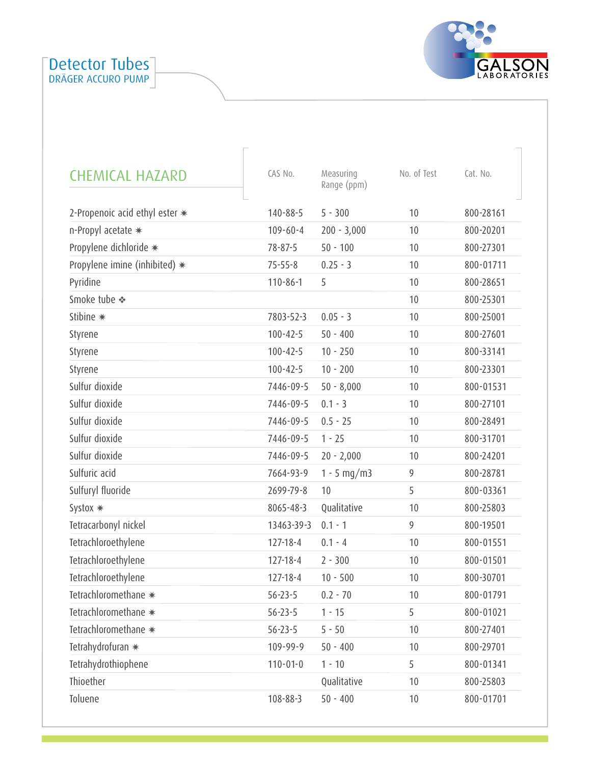

| <b>CHEMICAL HAZARD</b>         | CAS No.        | Measuring<br>Range (ppm) | No. of Test | Cat. No.  |
|--------------------------------|----------------|--------------------------|-------------|-----------|
| 2-Propenoic acid ethyl ester * | $140 - 88 - 5$ | $5 - 300$                | 10          | 800-28161 |
| n-Propyl acetate *             | $109 - 60 - 4$ | $200 - 3,000$            | 10          | 800-20201 |
| Propylene dichloride *         | $78 - 87 - 5$  | $50 - 100$               | 10          | 800-27301 |
| Propylene imine (inhibited) *  | $75 - 55 - 8$  | $0.25 - 3$               | 10          | 800-01711 |
| Pyridine                       | $110 - 86 - 1$ | 5                        | 10          | 800-28651 |
| Smoke tube ❖                   |                |                          | 10          | 800-25301 |
| Stibine *                      | 7803-52-3      | $0.05 - 3$               | 10          | 800-25001 |
| Styrene                        | $100 - 42 - 5$ | $50 - 400$               | 10          | 800-27601 |
| Styrene                        | $100 - 42 - 5$ | $10 - 250$               | 10          | 800-33141 |
| Styrene                        | $100 - 42 - 5$ | $10 - 200$               | 10          | 800-23301 |
| Sulfur dioxide                 | 7446-09-5      | $50 - 8,000$             | 10          | 800-01531 |
| Sulfur dioxide                 | 7446-09-5      | $0.1 - 3$                | 10          | 800-27101 |
| Sulfur dioxide                 | 7446-09-5      | $0.5 - 25$               | 10          | 800-28491 |
| Sulfur dioxide                 | 7446-09-5      | $1 - 25$                 | 10          | 800-31701 |
| Sulfur dioxide                 | 7446-09-5      | $20 - 2,000$             | 10          | 800-24201 |
| Sulfuric acid                  | 7664-93-9      | $1 - 5$ mg/m3            | 9           | 800-28781 |
| Sulfuryl fluoride              | 2699-79-8      | 10                       | 5           | 800-03361 |
| Systox *                       | 8065-48-3      | Qualitative              | 10          | 800-25803 |
| Tetracarbonyl nickel           | 13463-39-3     | $0.1 - 1$                | 9           | 800-19501 |
| Tetrachloroethylene            | $127 - 18 - 4$ | $0.1 - 4$                | 10          | 800-01551 |
| Tetrachloroethylene            | $127 - 18 - 4$ | $2 - 300$                | 10          | 800-01501 |
| Tetrachloroethylene            | $127 - 18 - 4$ | $10 - 500$               | 10          | 800-30701 |
| Tetrachloromethane *           | $56 - 23 - 5$  | $0.2 - 70$               | 10          | 800-01791 |
| Tetrachloromethane *           | $56 - 23 - 5$  | $1 - 15$                 | 5           | 800-01021 |
| Tetrachloromethane *           | $56 - 23 - 5$  | $5 - 50$                 | 10          | 800-27401 |
| Tetrahydrofuran *              | 109-99-9       | $50 - 400$               | 10          | 800-29701 |
| Tetrahydrothiophene            | $110 - 01 - 0$ | $1 - 10$                 | 5           | 800-01341 |
| Thioether                      |                | Qualitative              | 10          | 800-25803 |
| Toluene                        | 108-88-3       | $50 - 400$               | 10          | 800-01701 |